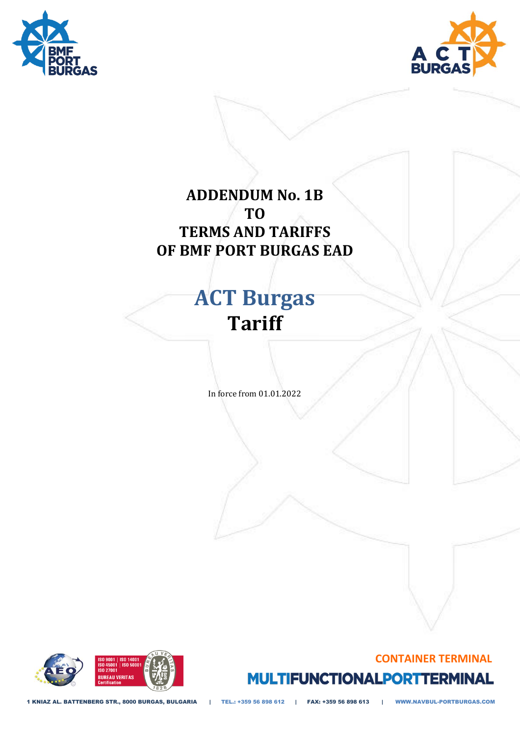



### **ADDENDUM No. 1B TO TERMS AND TARIFFS OF BMF PORT BURGAS EAD**

# **ACT Burgas Tariff**

In force from 01.01.2022

## **CONTAINER TERMINAL MULTIFUNCTIONALPORTTERMINAL**



1 KNIAZ AL. BATTENBERG STR., 8000 BURGAS, BULGARIA | TEL.: +359 56 898 612 | FAX: +359 56 898 613 | WWW.NAVBUL-PORTBURGAS.COM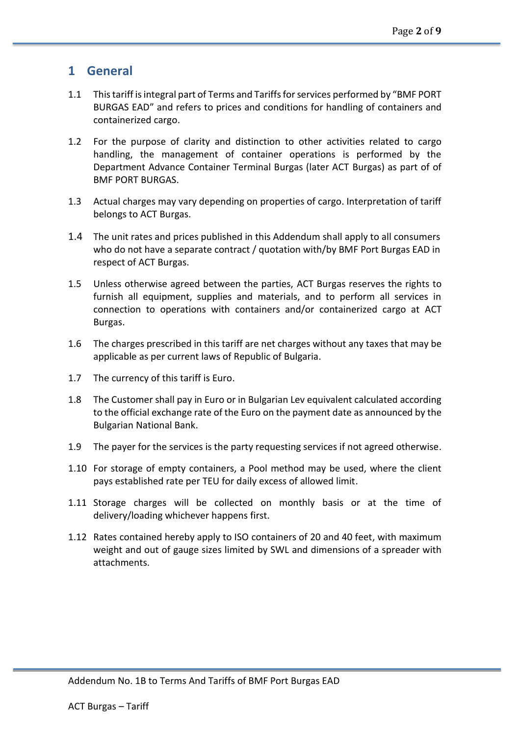#### **1 General**

- 1.1 This tariff is integral part of Terms and Tariffs for services performed by "BMF PORT BURGAS EAD" and refers to prices and conditions for handling of containers and containerized cargo.
- 1.2 For the purpose of clarity and distinction to other activities related to cargo handling, the management of container operations is performed by the Department Advance Container Terminal Burgas (later ACT Burgas) as part of of BMF PORT BURGAS.
- 1.3 Actual charges may vary depending on properties of cargo. Interpretation of tariff belongs to ACT Burgas.
- 1.4 The unit rates and prices published in this Addendum shall apply to all consumers who do not have a separate contract / quotation with/by BMF Port Burgas EAD in respect of ACT Burgas.
- 1.5 Unless otherwise agreed between the parties, ACT Burgas reserves the rights to furnish all equipment, supplies and materials, and to perform all services in connection to operations with containers and/or containerized cargo at ACT Burgas.
- 1.6 The charges prescribed in this tariff are net charges without any taxes that may be applicable as per current laws of Republic of Bulgaria.
- 1.7 The currency of this tariff is Euro.
- 1.8 The Customer shall pay in Euro or in Bulgarian Lev equivalent calculated according to the official exchange rate of the Euro on the payment date as announced by the Bulgarian National Bank.
- 1.9 The payer for the services is the party requesting services if not agreed otherwise.
- 1.10 For storage of empty containers, a Pool method may be used, where the client pays established rate per TEU for daily excess of allowed limit.
- 1.11 Storage charges will be collected on monthly basis or at the time of delivery/loading whichever happens first.
- 1.12 Rates contained hereby apply to ISO containers of 20 and 40 feet, with maximum weight and out of gauge sizes limited by SWL and dimensions of a spreader with attachments.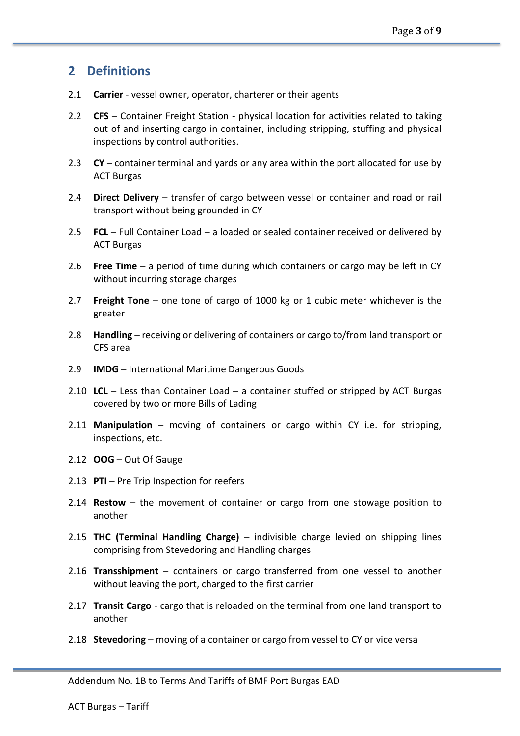#### **2 Definitions**

- 2.1 **Carrier** vessel owner, operator, charterer or their agents
- 2.2 **CFS** Container Freight Station physical location for activities related to taking out of and inserting cargo in container, including stripping, stuffing and physical inspections by control authorities.
- 2.3 **CY** container terminal and yards or any area within the port allocated for use by ACT Burgas
- 2.4 **Direct Delivery** transfer of cargo between vessel or container and road or rail transport without being grounded in CY
- 2.5 **FCL** Full Container Load a loaded or sealed container received or delivered by ACT Burgas
- 2.6 **Free Time** a period of time during which containers or cargo may be left in CY without incurring storage charges
- 2.7 **Freight Tone** one tone of cargo of 1000 kg or 1 cubic meter whichever is the greater
- 2.8 **Handling** receiving or delivering of containers or cargo to/from land transport or CFS area
- 2.9 **IMDG** International Maritime Dangerous Goods
- 2.10 **LCL** Less than Container Load a container stuffed or stripped by ACT Burgas covered by two or more Bills of Lading
- 2.11 **Manipulation** moving of containers or cargo within CY i.e. for stripping, inspections, etc.
- 2.12 **OOG** Out Of Gauge
- 2.13 **PTI** Pre Trip Inspection for reefers
- 2.14 **Restow** the movement of container or cargo from one stowage position to another
- 2.15 **THC (Terminal Handling Charge)** indivisible charge levied on shipping lines comprising from Stevedoring and Handling charges
- 2.16 **Transshipment** containers or cargo transferred from one vessel to another without leaving the port, charged to the first carrier
- 2.17 **Transit Cargo** cargo that is reloaded on the terminal from one land transport to another
- 2.18 **Stevedoring** moving of a container or cargo from vessel to CY or vice versa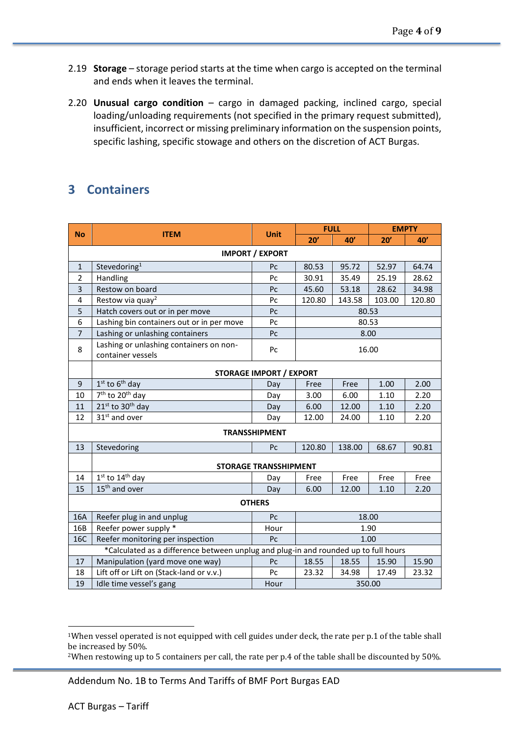- 2.19 **Storage** storage period starts at the time when cargo is accepted on the terminal and ends when it leaves the terminal.
- 2.20 **Unusual cargo condition** cargo in damaged packing, inclined cargo, special loading/unloading requirements (not specified in the primary request submitted), insufficient, incorrect or missing preliminary information on the suspension points, specific lashing, specific stowage and others on the discretion of ACT Burgas.

#### **3 Containers**

| <b>No</b>                                                                           | <b>ITEM</b>                                                  | <b>Unit</b> | <b>FULL</b> |        | <b>EMPTY</b> |       |  |
|-------------------------------------------------------------------------------------|--------------------------------------------------------------|-------------|-------------|--------|--------------|-------|--|
|                                                                                     |                                                              |             | 20'         | 40'    | 20'          | 40'   |  |
| <b>IMPORT / EXPORT</b>                                                              |                                                              |             |             |        |              |       |  |
| $\mathbf{1}$                                                                        | Stevedoring <sup>1</sup>                                     | Pc          | 80.53       | 95.72  | 52.97        | 64.74 |  |
| $\overline{2}$                                                                      | Handling                                                     | Pc          | 30.91       | 35.49  | 25.19        | 28.62 |  |
| 3                                                                                   | Restow on board                                              | Pc          | 45.60       | 53.18  | 28.62        | 34.98 |  |
| 4                                                                                   | Restow via quay <sup>2</sup>                                 | Pc          | 120.80      | 120.80 |              |       |  |
| 5                                                                                   | Hatch covers out or in per move                              | Pc          | 80.53       |        |              |       |  |
| 6                                                                                   | Lashing bin containers out or in per move                    | Pc          | 80.53       |        |              |       |  |
| $\overline{7}$                                                                      | Lashing or unlashing containers                              | Pc          | 8.00        |        |              |       |  |
| 8                                                                                   | Lashing or unlashing containers on non-<br>container vessels | Pc          | 16.00       |        |              |       |  |
| <b>STORAGE IMPORT / EXPORT</b>                                                      |                                                              |             |             |        |              |       |  |
| 9                                                                                   | $1st$ to $6th$ day                                           | Day         | Free        | Free   | 1.00         | 2.00  |  |
| 10                                                                                  | 7 <sup>th</sup> to 20 <sup>th</sup> day                      | Day         | 3.00        | 6.00   | 1.10         | 2.20  |  |
| 11                                                                                  | 21st to 30 <sup>th</sup> day                                 | Day         | 6.00        | 12.00  | 1.10         | 2.20  |  |
| 12                                                                                  | 31st and over                                                | Day         | 12.00       | 24.00  | 1.10         | 2.20  |  |
| <b>TRANSSHIPMENT</b>                                                                |                                                              |             |             |        |              |       |  |
| 13                                                                                  | Stevedoring                                                  | Pc          | 120.80      | 138.00 | 68.67        | 90.81 |  |
| <b>STORAGE TRANSSHIPMENT</b>                                                        |                                                              |             |             |        |              |       |  |
| 14                                                                                  | $1st$ to $14th$ day                                          | Day         | Free        | Free   | Free         | Free  |  |
| 15                                                                                  | 15 <sup>th</sup> and over                                    | Day         | 6.00        | 12.00  | 1.10         | 2.20  |  |
| <b>OTHERS</b>                                                                       |                                                              |             |             |        |              |       |  |
| 16A                                                                                 | Reefer plug in and unplug                                    | Pc          | 18.00       |        |              |       |  |
| 16B                                                                                 | Reefer power supply *                                        | Hour        | 1.90        |        |              |       |  |
| 16C                                                                                 | Reefer monitoring per inspection                             | Pc          | 1.00        |        |              |       |  |
| *Calculated as a difference between unplug and plug-in and rounded up to full hours |                                                              |             |             |        |              |       |  |
| 17                                                                                  | Manipulation (yard move one way)                             | Pc          | 18.55       | 18.55  | 15.90        | 15.90 |  |
| 18                                                                                  | Lift off or Lift on (Stack-land or v.v.)                     | Pc          | 23.32       | 34.98  | 17.49        | 23.32 |  |
| 19                                                                                  | Idle time vessel's gang                                      | Hour        | 350.00      |        |              |       |  |

Addendum No. 1B to Terms And Tariffs of BMF Port Burgas EAD

<sup>1</sup>When vessel operated is not equipped with cell guides under deck, the rate per p.1 of the table shall be increased by 50%.

<sup>2</sup>When restowing up to 5 containers per call, the rate per p.4 of the table shall be discounted by 50%.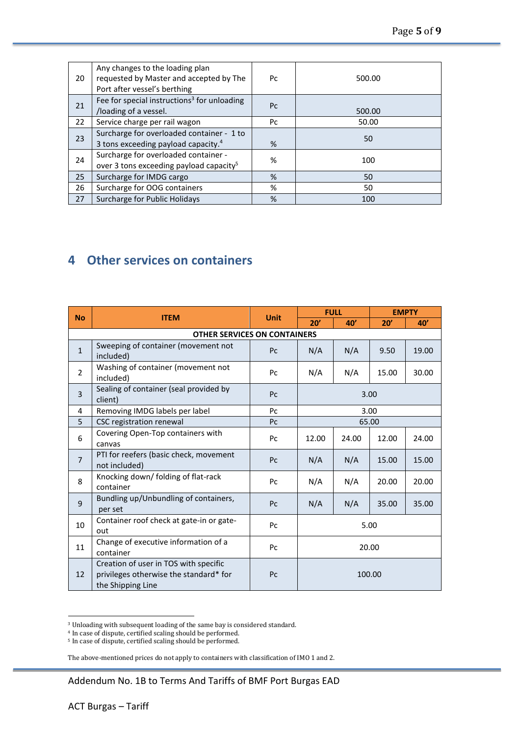| 20 | Any changes to the loading plan<br>requested by Master and accepted by The<br>Port after vessel's berthing | Pc             | 500.00 |
|----|------------------------------------------------------------------------------------------------------------|----------------|--------|
| 21 | Fee for special instructions <sup>3</sup> for unloading<br>/loading of a vessel.                           | P <sub>C</sub> | 500.00 |
| 22 | Service charge per rail wagon                                                                              | Pc             | 50.00  |
| 23 | Surcharge for overloaded container - 1 to<br>3 tons exceeding payload capacity. <sup>4</sup>               | %              | 50     |
| 24 | Surcharge for overloaded container -<br>over 3 tons exceeding payload capacity <sup>5</sup>                | %              | 100    |
| 25 | Surcharge for IMDG cargo                                                                                   | %              | 50     |
| 26 | Surcharge for OOG containers                                                                               | %              | 50     |
| 27 | Surcharge for Public Holidays                                                                              | %              | 100    |

#### **4 Other services on containers**

| <b>No</b>      |                                                                                                      |                | <b>FULL</b> |       | <b>EMPTY</b> |       |  |  |  |
|----------------|------------------------------------------------------------------------------------------------------|----------------|-------------|-------|--------------|-------|--|--|--|
|                | <b>ITEM</b>                                                                                          | <b>Unit</b>    | 20'         | 40'   | 20'          | 40'   |  |  |  |
|                | <b>OTHER SERVICES ON CONTAINERS</b>                                                                  |                |             |       |              |       |  |  |  |
| $\mathbf{1}$   | Sweeping of container (movement not<br>included)                                                     | P <sub>C</sub> | N/A         | N/A   | 9.50         | 19.00 |  |  |  |
| $\overline{2}$ | Washing of container (movement not<br>included)                                                      | Pc             | N/A         | N/A   | 15.00        | 30.00 |  |  |  |
| 3              | Sealing of container (seal provided by<br>client)                                                    | Pc             | 3.00        |       |              |       |  |  |  |
| 4              | Removing IMDG labels per label                                                                       | P <sub>C</sub> | 3.00        |       |              |       |  |  |  |
| 5              | CSC registration renewal                                                                             | Pc             | 65.00       |       |              |       |  |  |  |
| 6              | Covering Open-Top containers with<br>canvas                                                          | Pc             | 12.00       | 24.00 | 12.00        | 24.00 |  |  |  |
| $\overline{7}$ | PTI for reefers (basic check, movement<br>not included)                                              | Pc             | N/A         | N/A   | 15.00        | 15.00 |  |  |  |
| 8              | Knocking down/ folding of flat-rack<br>container                                                     | Pc             | N/A<br>N/A  |       | 20.00        | 20.00 |  |  |  |
| 9              | Bundling up/Unbundling of containers,<br>per set                                                     | Pc             | N/A         | N/A   | 35.00        | 35.00 |  |  |  |
| 10             | Container roof check at gate-in or gate-<br>out                                                      | Pc             | 5.00        |       |              |       |  |  |  |
| 11             | Change of executive information of a<br>container                                                    | Pc             | 20.00       |       |              |       |  |  |  |
| 12             | Creation of user in TOS with specific<br>privileges otherwise the standard* for<br>the Shipping Line | Pc             | 100.00      |       |              |       |  |  |  |

<sup>3</sup> Unloading with subsequent loading of the same bаy is considered standard.

The above-mentioned prices do not apply to containers with classification of IMO 1 and 2.

Addendum No. 1B to Terms And Tariffs of BMF Port Burgas EAD

<sup>4</sup> In case of dispute, certified scaling should be performed.

<sup>5</sup> In case of dispute, certified scaling should be performed.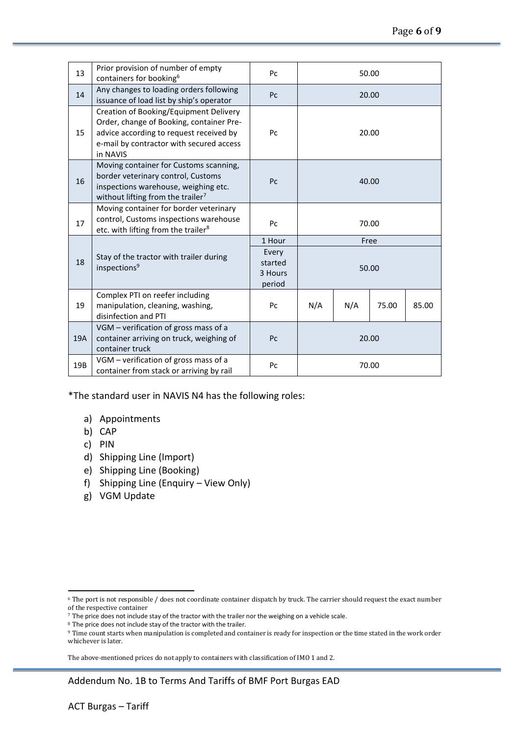| 13  | Prior provision of number of empty<br>containers for booking <sup>6</sup>                                                                                                             | Pc                                              | 50.00          |     |       |       |
|-----|---------------------------------------------------------------------------------------------------------------------------------------------------------------------------------------|-------------------------------------------------|----------------|-----|-------|-------|
| 14  | Any changes to loading orders following<br>issuance of load list by ship's operator                                                                                                   | Pc                                              | 20.00<br>20.00 |     |       |       |
| 15  | Creation of Booking/Equipment Delivery<br>Order, change of Booking, container Pre-<br>advice according to request received by<br>e-mail by contractor with secured access<br>in NAVIS | Pc                                              |                |     |       |       |
| 16  | Moving container for Customs scanning,<br>border veterinary control, Customs<br>inspections warehouse, weighing etc.<br>without lifting from the trailer <sup>7</sup>                 | P <sub>C</sub>                                  | 40.00          |     |       |       |
| 17  | Moving container for border veterinary<br>control, Customs inspections warehouse<br>etc. with lifting from the trailer <sup>8</sup>                                                   | Pc                                              | 70.00          |     |       |       |
| 18  | Stay of the tractor with trailer during<br>inspections <sup>9</sup>                                                                                                                   | 1 Hour<br>Every<br>started<br>3 Hours<br>period | Free<br>50.00  |     |       |       |
| 19  | Complex PTI on reefer including<br>manipulation, cleaning, washing,<br>disinfection and PTI                                                                                           | Pc                                              | N/A            | N/A | 75.00 | 85.00 |
| 19A | VGM - verification of gross mass of a<br>container arriving on truck, weighing of<br>container truck                                                                                  | Pc                                              | 20.00          |     |       |       |
| 19B | VGM - verification of gross mass of a<br>container from stack or arriving by rail                                                                                                     | Pc                                              | 70.00          |     |       |       |

\*The standard user in NAVIS N4 has the following roles:

- a) Appointments
- b) CAP
- c) PIN
- d) Shipping Line (Import)
- e) Shipping Line (Booking)
- f) Shipping Line (Enquiry View Only)
- g) VGM Update

<sup>8</sup> The price does not include stay of the tractor with the trailer.

The above-mentioned prices do not apply to containers with classification of IMO 1 and 2.

Addendum No. 1B to Terms And Tariffs of BMF Port Burgas EAD

<sup>6</sup> The port is not responsible / does not coordinate container dispatch by truck. The carrier should request the exact number of the respective container

<sup>7</sup> The price does not include stay of the tractor with the trailer nor the weighing on a vehicle scale.

<sup>9</sup> Time count starts when manipulation is completed and container is ready for inspection or the time stated in the work order whichever is later.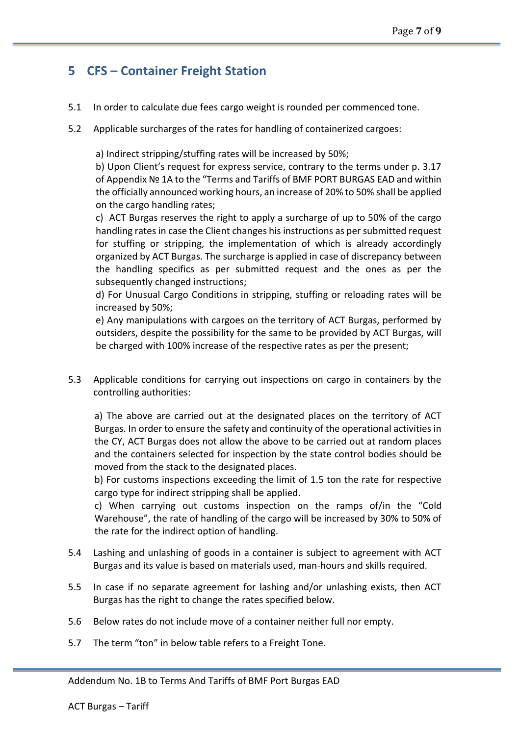#### **5 CFS – Container Freight Station**

- 5.1 In order to calculate due fees cargo weight is rounded per commenced tone.
- 5.2 Applicable surcharges of the rates for handling of containerized cargoes:

a) Indirect stripping/stuffing rates will be increased by 50%;

b) Upon Client's request for express service, contrary to the terms under p. 3.17 of Appendix № 1A to the "Terms and Tariffs of BMF PORT BURGAS EAD and within the officially announced working hours, an increase of 20% to 50% shall be applied on the cargo handling rates;

c) ACT Burgas reserves the right to apply a surcharge of up to 50% of the cargo handling rates in case the Client changes his instructions as per submitted request for stuffing or stripping, the implementation of which is already accordingly organized by ACT Burgas. The surcharge is applied in case of discrepancy between the handling specifics as per submitted request and the ones as per the subsequently changed instructions;

d) For Unusual Cargo Conditions in stripping, stuffing or reloading rates will be increased by 50%;

e) Any manipulations with cargoes on the territory of ACT Burgas, performed by outsiders, despite the possibility for the same to be provided by ACT Burgas, will be charged with 100% increase of the respective rates as per the present;

5.3 Applicable conditions for carrying out inspections on cargo in containers by the controlling authorities:

a) The above are carried out at the designated places on the territory of ACT Burgas. In order to ensure the safety and continuity of the operational activities in the CY, ACT Burgas does not allow the above to be carried out at random places and the containers selected for inspection by the state control bodies should be moved from the stack to the designated places.

b) For customs inspections exceeding the limit of 1.5 ton the rate for respective cargo type for indirect stripping shall be applied.

c) When carrying out customs inspection on the ramps of/in the "Cold Warehouse", the rate of handling of the cargo will be increased by 30% to 50% of the rate for the indirect option of handling.

- 5.4 Lashing and unlashing of goods in a container is subject to agreement with ACT Burgas and its value is based on materials used, man-hours and skills required.
- 5.5 In case if no separate agreement for lashing and/or unlashing exists, then ACT Burgas has the right to change the rates specified below.
- 5.6 Below rates do not include move of a container neither full nor empty.
- 5.7 The term "ton" in below table refers to a Freight Tone.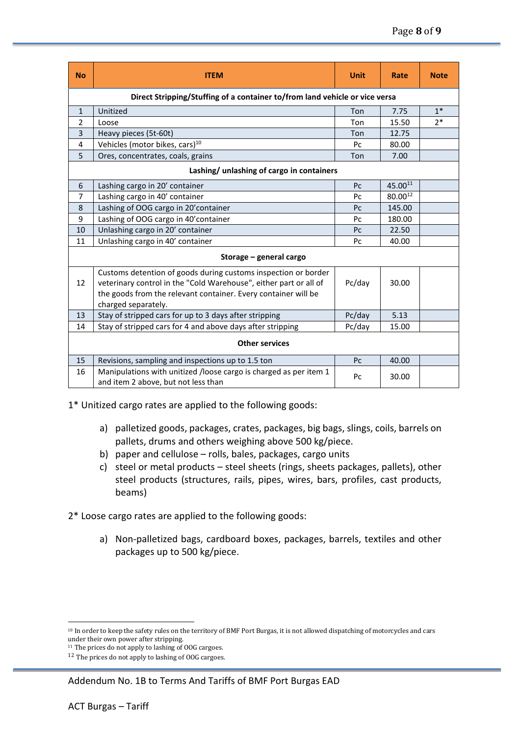| <b>No</b>                                 | <b>ITEM</b>                                                                                                                                                                                                                  | <b>Unit</b> | Rate    | <b>Note</b> |  |  |  |  |
|-------------------------------------------|------------------------------------------------------------------------------------------------------------------------------------------------------------------------------------------------------------------------------|-------------|---------|-------------|--|--|--|--|
|                                           | Direct Stripping/Stuffing of a container to/from land vehicle or vice versa                                                                                                                                                  |             |         |             |  |  |  |  |
| $\mathbf{1}$                              | Unitized                                                                                                                                                                                                                     | Ton         | 7.75    | $1*$        |  |  |  |  |
| $\overline{2}$                            | Loose                                                                                                                                                                                                                        | Ton         | 15.50   | $2*$        |  |  |  |  |
| 3                                         | Heavy pieces (5t-60t)                                                                                                                                                                                                        | Ton         | 12.75   |             |  |  |  |  |
| 4                                         | Vehicles (motor bikes, cars) <sup>10</sup>                                                                                                                                                                                   | Pc          | 80.00   |             |  |  |  |  |
| 5                                         | Ores, concentrates, coals, grains                                                                                                                                                                                            | Ton         | 7.00    |             |  |  |  |  |
| Lashing/ unlashing of cargo in containers |                                                                                                                                                                                                                              |             |         |             |  |  |  |  |
| 6                                         | Lashing cargo in 20' container                                                                                                                                                                                               | Pc          | 45.0011 |             |  |  |  |  |
| 7                                         | Lashing cargo in 40' container                                                                                                                                                                                               | Pc          | 80.0012 |             |  |  |  |  |
| 8                                         | Lashing of OOG cargo in 20' container                                                                                                                                                                                        | Pc          | 145.00  |             |  |  |  |  |
| 9                                         | Lashing of OOG cargo in 40' container                                                                                                                                                                                        | Pc          | 180.00  |             |  |  |  |  |
| 10                                        | Unlashing cargo in 20' container                                                                                                                                                                                             | Pc          | 22.50   |             |  |  |  |  |
| 11                                        | Unlashing cargo in 40' container                                                                                                                                                                                             | Pc          | 40.00   |             |  |  |  |  |
| Storage - general cargo                   |                                                                                                                                                                                                                              |             |         |             |  |  |  |  |
| 12                                        | Customs detention of goods during customs inspection or border<br>veterinary control in the "Cold Warehouse", either part or all of<br>the goods from the relevant container. Every container will be<br>charged separately. | Pc/day      | 30.00   |             |  |  |  |  |
| 13                                        | Stay of stripped cars for up to 3 days after stripping                                                                                                                                                                       | Pc/day      | 5.13    |             |  |  |  |  |
| 14                                        | Stay of stripped cars for 4 and above days after stripping                                                                                                                                                                   | Pc/day      | 15.00   |             |  |  |  |  |
| <b>Other services</b>                     |                                                                                                                                                                                                                              |             |         |             |  |  |  |  |
| 15                                        | Revisions, sampling and inspections up to 1.5 ton                                                                                                                                                                            | Pc          | 40.00   |             |  |  |  |  |
| 16                                        | Manipulations with unitized /loose cargo is charged as per item 1<br>and item 2 above, but not less than                                                                                                                     | Pc          | 30.00   |             |  |  |  |  |

1\* Unitized cargo rates are applied to the following goods:

- a) palletized goods, packages, crates, packages, big bags, slings, coils, barrels on pallets, drums and others weighing above 500 kg/piece.
- b) paper and cellulose rolls, bales, packages, cargo units
- c) steel or metal products steel sheets (rings, sheets packages, pallets), other steel products (structures, rails, pipes, wires, bars, profiles, cast products, beams)

2\* Loose cargo rates are applied to the following goods:

a) Non-palletized bags, cardboard boxes, packages, barrels, textiles and other packages up to 500 kg/piece.

<sup>10</sup> In order to keep the safety rules on the territory of BMF Port Burgas, it is not allowed dispatching of motorcycles and cars under their own power after stripping.

<sup>&</sup>lt;sup>11</sup> The prices do not apply to lashing of OOG cargoes.

<sup>&</sup>lt;sup>12</sup> The prices do not apply to lashing of OOG cargoes.